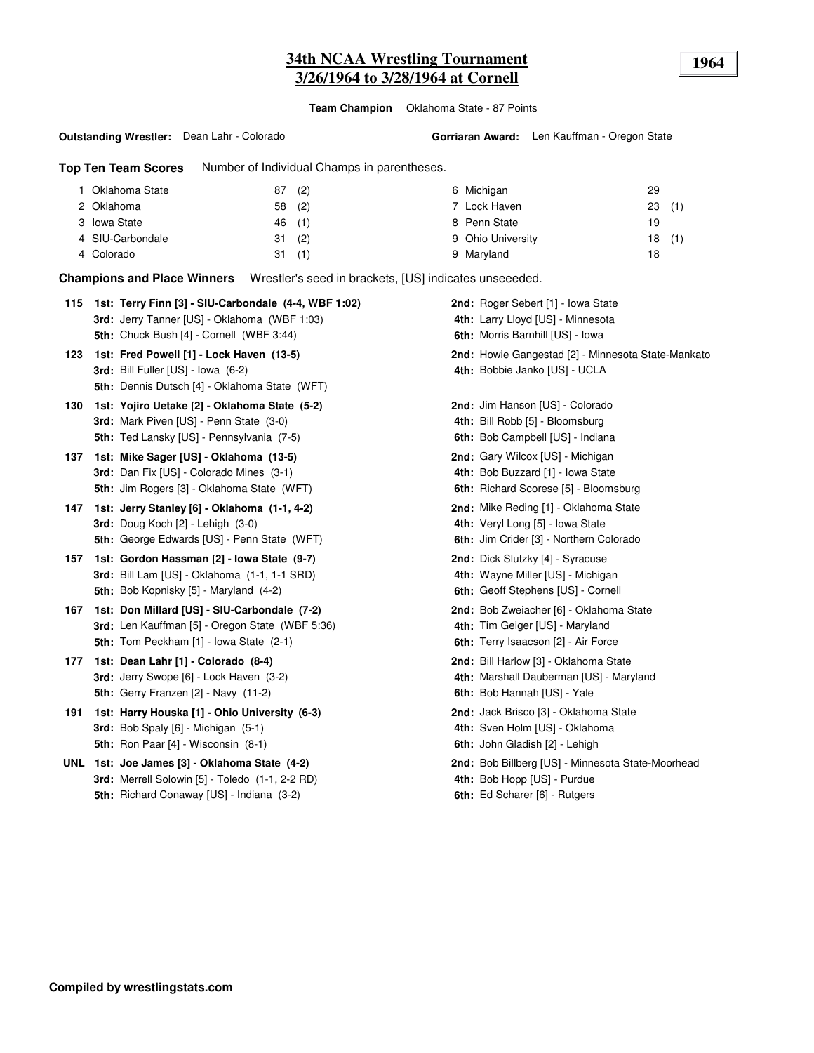# **34th NCAA Wrestling Tournament 1964 3/26/1964 to 3/28/1964 at Cornell**

**Team Champion** Oklahoma State - 87 Points

**Outstanding Wrestler:** Dean Lahr - Colorado

**Gorriaran Award:** Len Kauffman - Oregon State

**Top Ten Team Scores** Number of Individual Champs in parentheses.

| Oklahoma State   | 87     | (2) | 6 Michigan        | 29    |  |
|------------------|--------|-----|-------------------|-------|--|
| 2 Oklahoma       | 58 (2) |     | 7 Lock Haven      | 23(1) |  |
| 3 Iowa State     | 46 (1) |     | 8 Penn State      | 19    |  |
| 4 SIU-Carbondale | 31     | (2) | 9 Ohio University | 18(1) |  |
| 4 Colorado       | 31     | (1) | 9 Maryland        | 18    |  |

**Champions and Place Winners** Wrestler's seed in brackets, [US] indicates unseeeded.

| 115 | 1st: Terry Finn [3] - SIU-Carbondale (4-4, WBF 1:02) | 2nd: Roger Sebert [1] - Iowa State                 |
|-----|------------------------------------------------------|----------------------------------------------------|
|     | 3rd: Jerry Tanner [US] - Oklahoma (WBF 1:03)         | 4th: Larry Lloyd [US] - Minnesota                  |
|     | 5th: Chuck Bush [4] - Cornell (WBF 3:44)             | 6th: Morris Barnhill [US] - Iowa                   |
| 123 | 1st: Fred Powell [1] - Lock Haven (13-5)             | 2nd: Howie Gangestad [2] - Minnesota State-Mankato |
|     | 3rd: Bill Fuller [US] - Iowa (6-2)                   | 4th: Bobbie Janko [US] - UCLA                      |
|     | 5th: Dennis Dutsch [4] - Oklahoma State (WFT)        |                                                    |
| 130 | 1st: Yojiro Uetake [2] - Oklahoma State (5-2)        | 2nd: Jim Hanson [US] - Colorado                    |
|     | 3rd: Mark Piven [US] - Penn State (3-0)              | 4th: Bill Robb [5] - Bloomsburg                    |
|     | 5th: Ted Lansky [US] - Pennsylvania (7-5)            | 6th: Bob Campbell [US] - Indiana                   |
| 137 | 1st: Mike Sager [US] - Oklahoma (13-5)               | 2nd: Gary Wilcox [US] - Michigan                   |
|     | 3rd: Dan Fix [US] - Colorado Mines (3-1)             | 4th: Bob Buzzard [1] - Iowa State                  |
|     | 5th: Jim Rogers [3] - Oklahoma State (WFT)           | 6th: Richard Scorese [5] - Bloomsburg              |
| 147 | 1st: Jerry Stanley [6] - Oklahoma (1-1, 4-2)         | 2nd: Mike Reding [1] - Oklahoma State              |
|     | 3rd: Doug Koch [2] - Lehigh (3-0)                    | 4th: Veryl Long [5] - Iowa State                   |
|     | 5th: George Edwards [US] - Penn State (WFT)          | 6th: Jim Crider [3] - Northern Colorado            |
| 157 | 1st: Gordon Hassman [2] - Iowa State (9-7)           | 2nd: Dick Slutzky [4] - Syracuse                   |
|     | 3rd: Bill Lam [US] - Oklahoma (1-1, 1-1 SRD)         | 4th: Wayne Miller [US] - Michigan                  |
|     | 5th: Bob Kopnisky [5] - Maryland (4-2)               | 6th: Geoff Stephens [US] - Cornell                 |
| 167 | 1st: Don Millard [US] - SIU-Carbondale (7-2)         | 2nd: Bob Zweiacher [6] - Oklahoma State            |
|     | 3rd: Len Kauffman [5] - Oregon State (WBF 5:36)      | 4th: Tim Geiger [US] - Maryland                    |
|     | <b>5th:</b> Tom Peckham [1] - Iowa State (2-1)       | 6th: Terry Isaacson [2] - Air Force                |
| 177 | 1st: Dean Lahr [1] - Colorado (8-4)                  | 2nd: Bill Harlow [3] - Oklahoma State              |
|     | 3rd: Jerry Swope [6] - Lock Haven (3-2)              | 4th: Marshall Dauberman [US] - Maryland            |
|     | 5th: Gerry Franzen [2] - Navy (11-2)                 | 6th: Bob Hannah [US] - Yale                        |
| 191 | 1st: Harry Houska [1] - Ohio University (6-3)        | 2nd: Jack Brisco [3] - Oklahoma State              |
|     | <b>3rd:</b> Bob Spaly $[6]$ - Michigan $(5-1)$       | 4th: Sven Holm [US] - Oklahoma                     |
|     | <b>5th:</b> Ron Paar [4] - Wisconsin (8-1)           | 6th: John Gladish [2] - Lehigh                     |
|     | UNL 1st: Joe James [3] - Oklahoma State (4-2)        | 2nd: Bob Billberg [US] - Minnesota State-Moorhead  |
|     |                                                      |                                                    |
|     | 3rd: Merrell Solowin [5] - Toledo (1-1, 2-2 RD)      | 4th: Bob Hopp [US] - Purdue                        |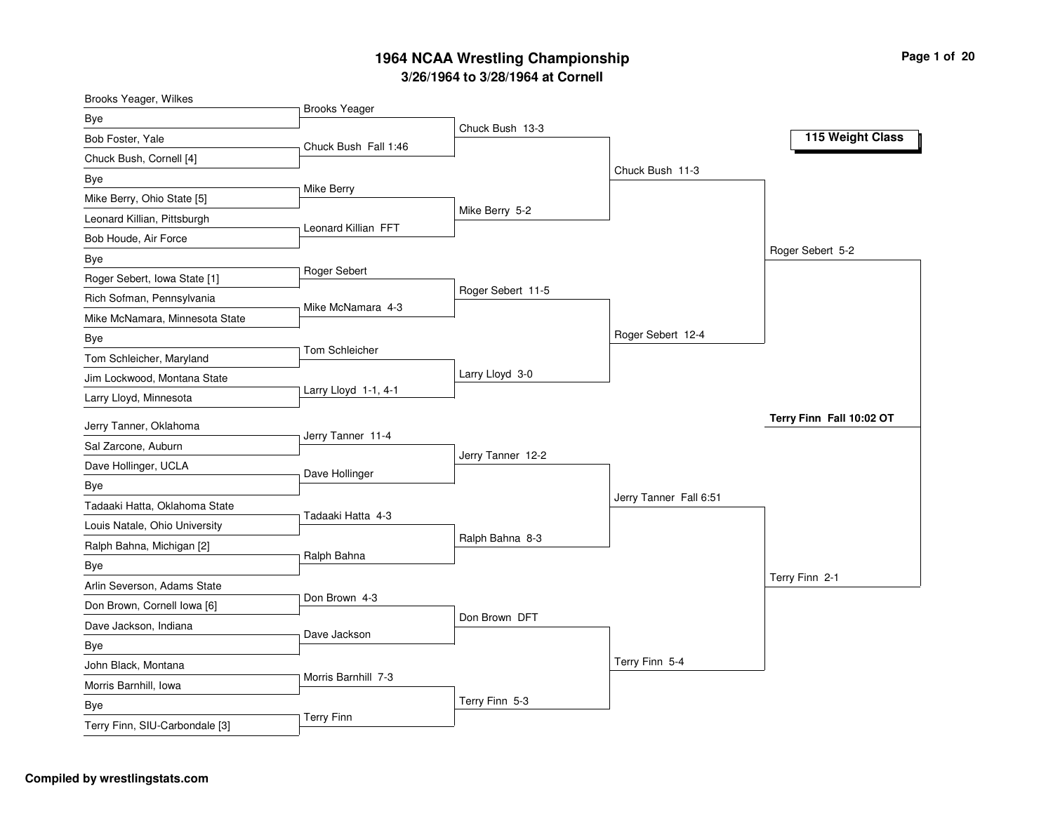| Brooks Yeager, Wilkes          |                      |                   |                        |                          |
|--------------------------------|----------------------|-------------------|------------------------|--------------------------|
| Bye                            | <b>Brooks Yeager</b> |                   |                        |                          |
| Bob Foster, Yale               | Chuck Bush Fall 1:46 | Chuck Bush 13-3   |                        | 115 Weight Class         |
| Chuck Bush, Cornell [4]        |                      |                   |                        |                          |
| Bye                            |                      |                   | Chuck Bush 11-3        |                          |
| Mike Berry, Ohio State [5]     | Mike Berry           |                   |                        |                          |
| Leonard Killian, Pittsburgh    |                      | Mike Berry 5-2    |                        |                          |
| Bob Houde, Air Force           | Leonard Killian FFT  |                   |                        |                          |
| Bye                            |                      |                   |                        | Roger Sebert 5-2         |
| Roger Sebert, Iowa State [1]   | Roger Sebert         |                   |                        |                          |
| Rich Sofman, Pennsylvania      |                      | Roger Sebert 11-5 |                        |                          |
| Mike McNamara, Minnesota State | Mike McNamara 4-3    |                   |                        |                          |
| <b>Bye</b>                     |                      |                   | Roger Sebert 12-4      |                          |
| Tom Schleicher, Maryland       | Tom Schleicher       |                   |                        |                          |
| Jim Lockwood, Montana State    |                      | Larry Lloyd 3-0   |                        |                          |
| Larry Lloyd, Minnesota         | Larry Lloyd 1-1, 4-1 |                   |                        |                          |
| Jerry Tanner, Oklahoma         |                      |                   |                        | Terry Finn Fall 10:02 OT |
| Sal Zarcone, Auburn            | Jerry Tanner 11-4    |                   |                        |                          |
| Dave Hollinger, UCLA           |                      | Jerry Tanner 12-2 |                        |                          |
| Bye                            | Dave Hollinger       |                   |                        |                          |
| Tadaaki Hatta, Oklahoma State  |                      |                   | Jerry Tanner Fall 6:51 |                          |
| Louis Natale, Ohio University  | Tadaaki Hatta 4-3    |                   |                        |                          |
| Ralph Bahna, Michigan [2]      |                      | Ralph Bahna 8-3   |                        |                          |
| Bye                            | Ralph Bahna          |                   |                        |                          |
| Arlin Severson, Adams State    |                      |                   |                        | Terry Finn 2-1           |
| Don Brown, Cornell Iowa [6]    | Don Brown 4-3        |                   |                        |                          |
| Dave Jackson, Indiana          |                      | Don Brown DFT     |                        |                          |
| Bye                            | Dave Jackson         |                   |                        |                          |
| John Black, Montana            |                      |                   | Terry Finn 5-4         |                          |
| Morris Barnhill, Iowa          | Morris Barnhill 7-3  |                   |                        |                          |
| Bye                            |                      | Terry Finn 5-3    |                        |                          |
| Terry Finn, SIU-Carbondale [3] | <b>Terry Finn</b>    |                   |                        |                          |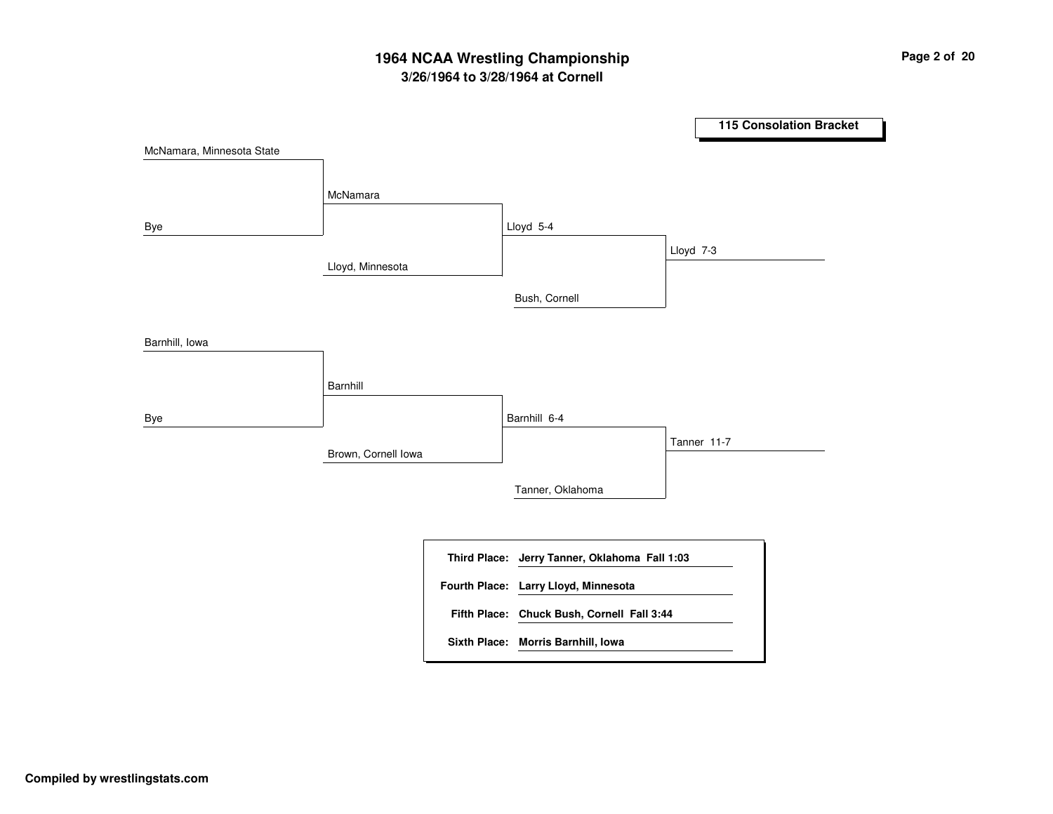# **3/26/1964 to 3/28/1964 at Cornell 1964 NCAA Wrestling Championship Page <sup>2</sup> of <sup>20</sup>**

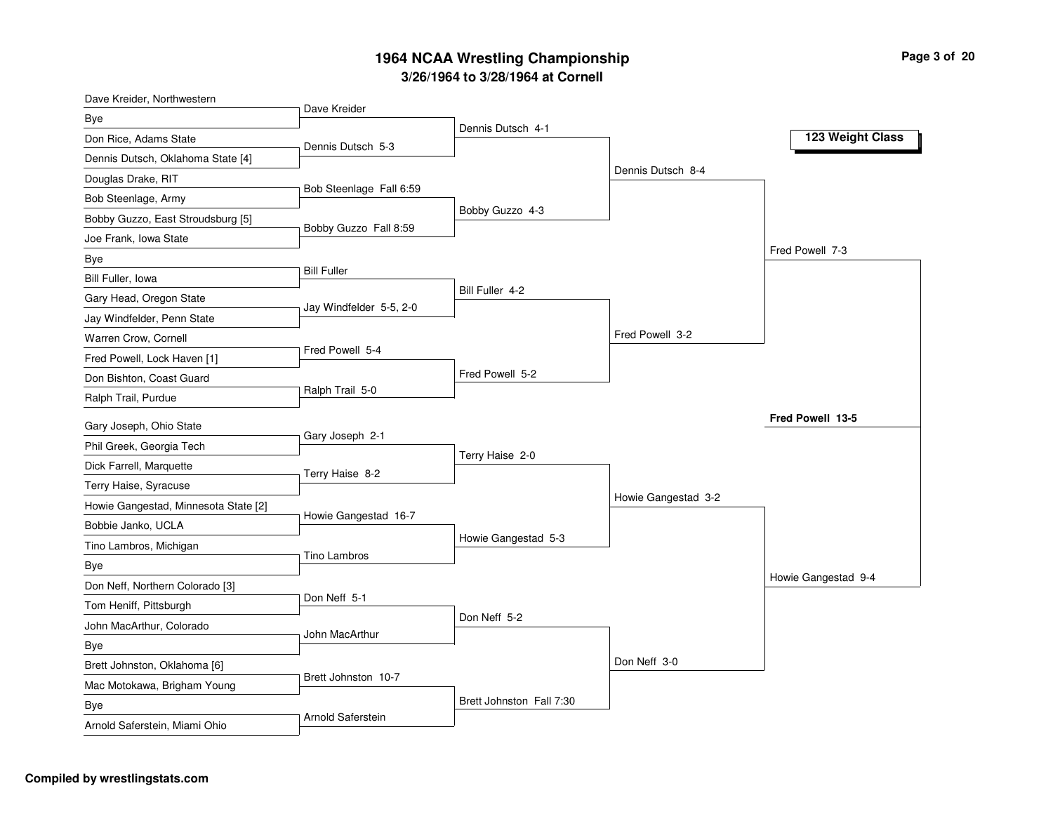| Dave Kreider, Northwestern           | Dave Kreider            |                          |                     |                     |
|--------------------------------------|-------------------------|--------------------------|---------------------|---------------------|
| Bye                                  |                         | Dennis Dutsch 4-1        |                     |                     |
| Don Rice, Adams State                | Dennis Dutsch 5-3       |                          |                     | 123 Weight Class    |
| Dennis Dutsch, Oklahoma State [4]    |                         |                          |                     |                     |
| Douglas Drake, RIT                   | Bob Steenlage Fall 6:59 |                          | Dennis Dutsch 8-4   |                     |
| Bob Steenlage, Army                  |                         |                          |                     |                     |
| Bobby Guzzo, East Stroudsburg [5]    | Bobby Guzzo Fall 8:59   | Bobby Guzzo 4-3          |                     |                     |
| Joe Frank, Iowa State                |                         |                          |                     |                     |
| Bye                                  |                         |                          |                     | Fred Powell 7-3     |
| Bill Fuller, Iowa                    | <b>Bill Fuller</b>      |                          |                     |                     |
| Gary Head, Oregon State              | Jay Windfelder 5-5, 2-0 | Bill Fuller 4-2          |                     |                     |
| Jay Windfelder, Penn State           |                         |                          |                     |                     |
| Warren Crow, Cornell                 |                         |                          | Fred Powell 3-2     |                     |
| Fred Powell, Lock Haven [1]          | Fred Powell 5-4         |                          |                     |                     |
| Don Bishton, Coast Guard             |                         | Fred Powell 5-2          |                     |                     |
| Ralph Trail, Purdue                  | Ralph Trail 5-0         |                          |                     |                     |
| Gary Joseph, Ohio State              |                         |                          |                     | Fred Powell 13-5    |
| Phil Greek, Georgia Tech             | Gary Joseph 2-1         |                          |                     |                     |
| Dick Farrell, Marquette              |                         | Terry Haise 2-0          |                     |                     |
| Terry Haise, Syracuse                | Terry Haise 8-2         |                          |                     |                     |
| Howie Gangestad, Minnesota State [2] |                         |                          | Howie Gangestad 3-2 |                     |
| Bobbie Janko, UCLA                   | Howie Gangestad 16-7    |                          |                     |                     |
| Tino Lambros, Michigan               |                         | Howie Gangestad 5-3      |                     |                     |
| Bye                                  | <b>Tino Lambros</b>     |                          |                     |                     |
| Don Neff, Northern Colorado [3]      |                         |                          |                     | Howie Gangestad 9-4 |
| Tom Heniff, Pittsburgh               | Don Neff 5-1            |                          |                     |                     |
| John MacArthur, Colorado             |                         | Don Neff 5-2             |                     |                     |
| Bye                                  | John MacArthur          |                          |                     |                     |
| Brett Johnston, Oklahoma [6]         |                         |                          | Don Neff 3-0        |                     |
| Mac Motokawa, Brigham Young          | Brett Johnston 10-7     |                          |                     |                     |
| Bye                                  |                         | Brett Johnston Fall 7:30 |                     |                     |
| Arnold Saferstein, Miami Ohio        | Arnold Saferstein       |                          |                     |                     |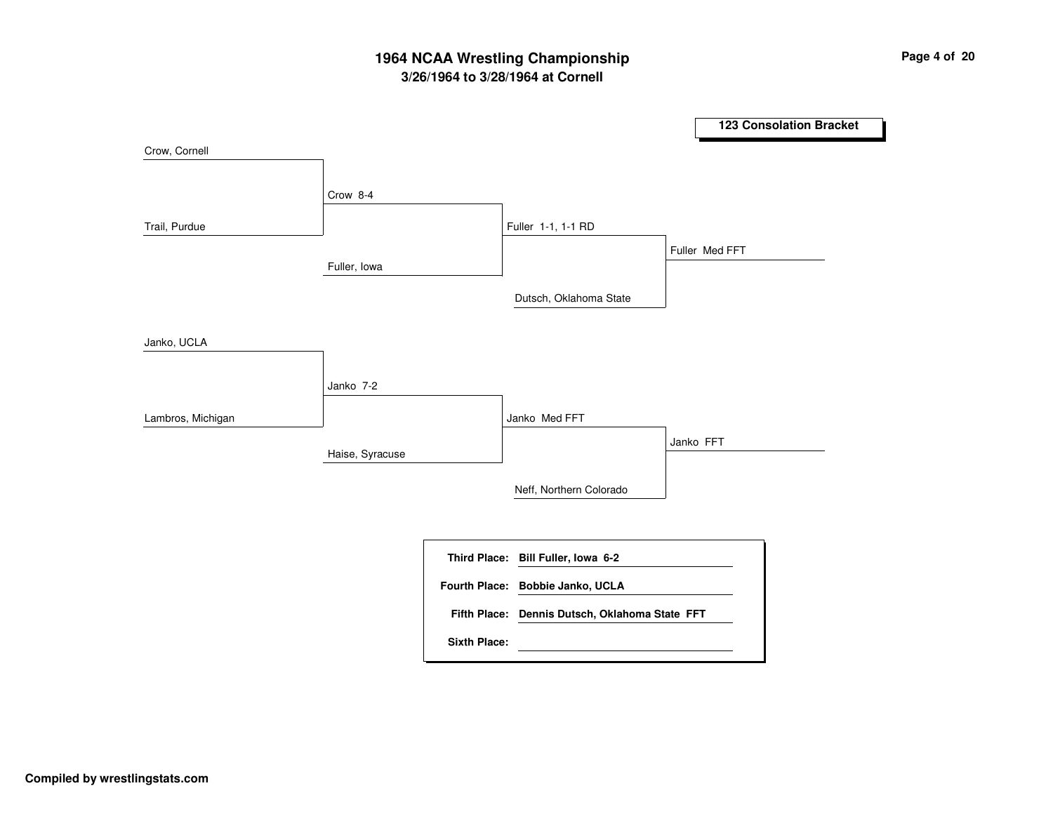# **3/26/1964 to 3/28/1964 at Cornell 1964 NCAA Wrestling Championship Page <sup>4</sup> of <sup>20</sup>**

|                   |                 |                     |                                                | <b>123 Consolation Bracket</b> |
|-------------------|-----------------|---------------------|------------------------------------------------|--------------------------------|
| Crow, Cornell     |                 |                     |                                                |                                |
|                   | Crow 8-4        |                     |                                                |                                |
| Trail, Purdue     |                 |                     | Fuller 1-1, 1-1 RD                             |                                |
|                   | Fuller, Iowa    |                     |                                                | Fuller Med FFT                 |
|                   |                 |                     | Dutsch, Oklahoma State                         |                                |
| Janko, UCLA       |                 |                     |                                                |                                |
|                   | Janko 7-2       |                     |                                                |                                |
| Lambros, Michigan |                 |                     | Janko Med FFT                                  |                                |
|                   | Haise, Syracuse |                     |                                                | Janko FFT                      |
|                   |                 |                     | Neff, Northern Colorado                        |                                |
|                   |                 |                     |                                                |                                |
|                   |                 | <b>Third Place:</b> | Bill Fuller, Iowa 6-2                          |                                |
|                   |                 |                     | Fourth Place: Bobbie Janko, UCLA               |                                |
|                   |                 | <b>Sixth Place:</b> | Fifth Place: Dennis Dutsch, Oklahoma State FFT |                                |
|                   |                 |                     |                                                |                                |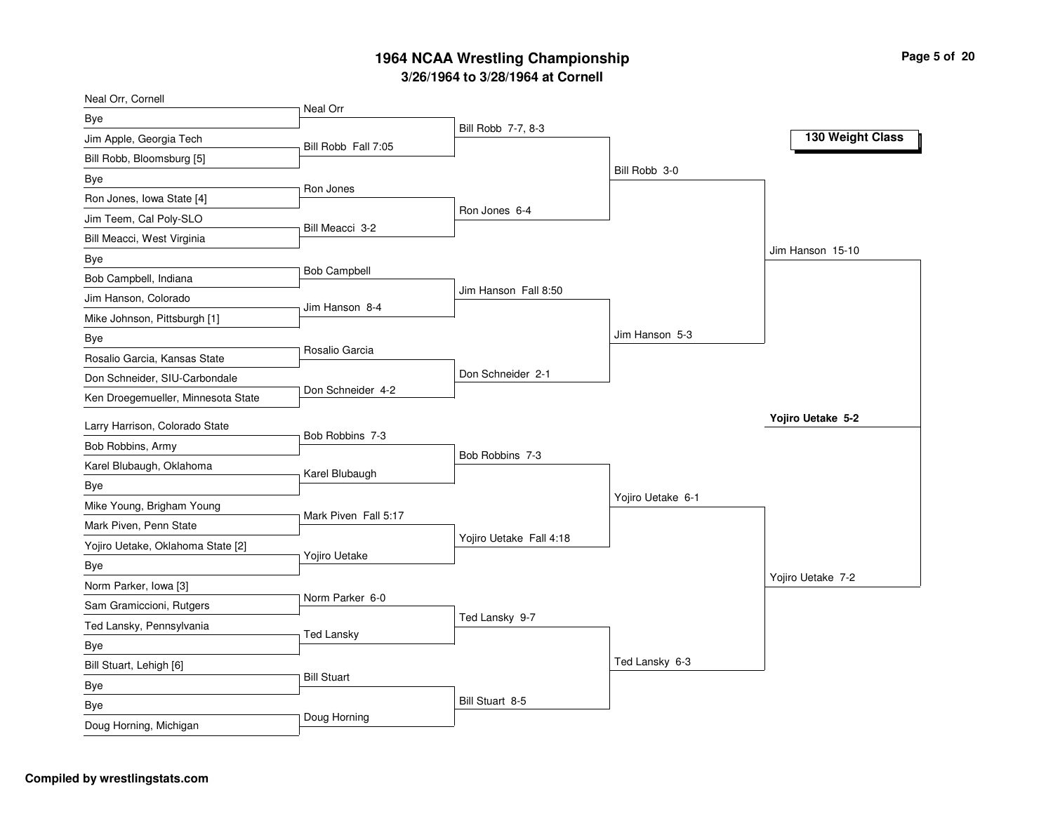| Neal Orr, Cornell                  |                      |                         |                   |                   |
|------------------------------------|----------------------|-------------------------|-------------------|-------------------|
| Bye                                | Neal Orr             |                         |                   |                   |
| Jim Apple, Georgia Tech            | Bill Robb Fall 7:05  | Bill Robb 7-7, 8-3      |                   | 130 Weight Class  |
| Bill Robb, Bloomsburg [5]          |                      |                         |                   |                   |
| Bye                                |                      |                         | Bill Robb 3-0     |                   |
| Ron Jones, Iowa State [4]          | Ron Jones            |                         |                   |                   |
| Jim Teem, Cal Poly-SLO             | Bill Meacci 3-2      | Ron Jones 6-4           |                   |                   |
| Bill Meacci, West Virginia         |                      |                         |                   |                   |
| Bye                                |                      |                         |                   | Jim Hanson 15-10  |
| Bob Campbell, Indiana              | <b>Bob Campbell</b>  |                         |                   |                   |
| Jim Hanson, Colorado               | Jim Hanson 8-4       | Jim Hanson Fall 8:50    |                   |                   |
| Mike Johnson, Pittsburgh [1]       |                      |                         |                   |                   |
| Bye                                |                      |                         | Jim Hanson 5-3    |                   |
| Rosalio Garcia, Kansas State       | Rosalio Garcia       |                         |                   |                   |
| Don Schneider, SIU-Carbondale      |                      | Don Schneider 2-1       |                   |                   |
| Ken Droegemueller, Minnesota State | Don Schneider 4-2    |                         |                   |                   |
| Larry Harrison, Colorado State     |                      |                         |                   | Yojiro Uetake 5-2 |
| Bob Robbins, Army                  | Bob Robbins 7-3      |                         |                   |                   |
| Karel Blubaugh, Oklahoma           |                      | Bob Robbins 7-3         |                   |                   |
| Bye                                | Karel Blubaugh       |                         |                   |                   |
| Mike Young, Brigham Young          |                      |                         | Yojiro Uetake 6-1 |                   |
| Mark Piven, Penn State             | Mark Piven Fall 5:17 |                         |                   |                   |
| Yojiro Uetake, Oklahoma State [2]  |                      | Yojiro Uetake Fall 4:18 |                   |                   |
| Bye                                | Yojiro Uetake        |                         |                   |                   |
| Norm Parker, Iowa [3]              |                      |                         |                   | Yojiro Uetake 7-2 |
| Sam Gramiccioni, Rutgers           | Norm Parker 6-0      |                         |                   |                   |
| Ted Lansky, Pennsylvania           |                      | Ted Lansky 9-7          |                   |                   |
| Bye                                | <b>Ted Lansky</b>    |                         |                   |                   |
| Bill Stuart, Lehigh [6]            |                      |                         | Ted Lansky 6-3    |                   |
| Bye                                | <b>Bill Stuart</b>   |                         |                   |                   |
| Bye                                |                      | Bill Stuart 8-5         |                   |                   |
| Doug Horning, Michigan             | Doug Horning         |                         |                   |                   |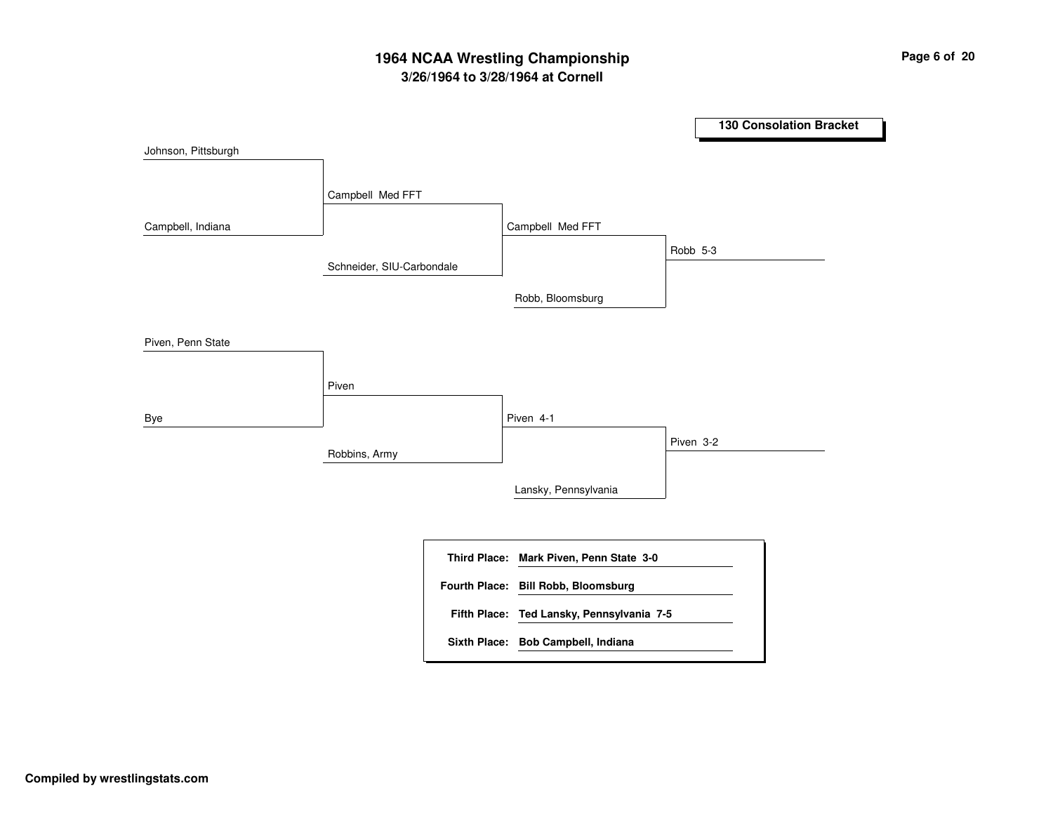# **3/26/1964 to 3/28/1964 at Cornell 1964 NCAA Wrestling Championship Page <sup>6</sup> of <sup>20</sup>**

**130 Consolation Bracket** Schneider, SIU-Carbondale Robbins, Army Campbell Med FFT Piven Campbell Med FFT Piven 4-1 Robb, Bloomsburg Lansky, Pennsylvania Robb 5-3 Piven 3-2 Johnson, Pittsburgh Campbell, Indiana Piven, Penn State Bye **Mark Piven, Penn State 3-0 Third Place: Ted Lansky, Pennsylvania 7-5 Fifth Place: Fourth Place: Bill Robb, Bloomsburg Sixth Place: Bob Campbell, Indiana**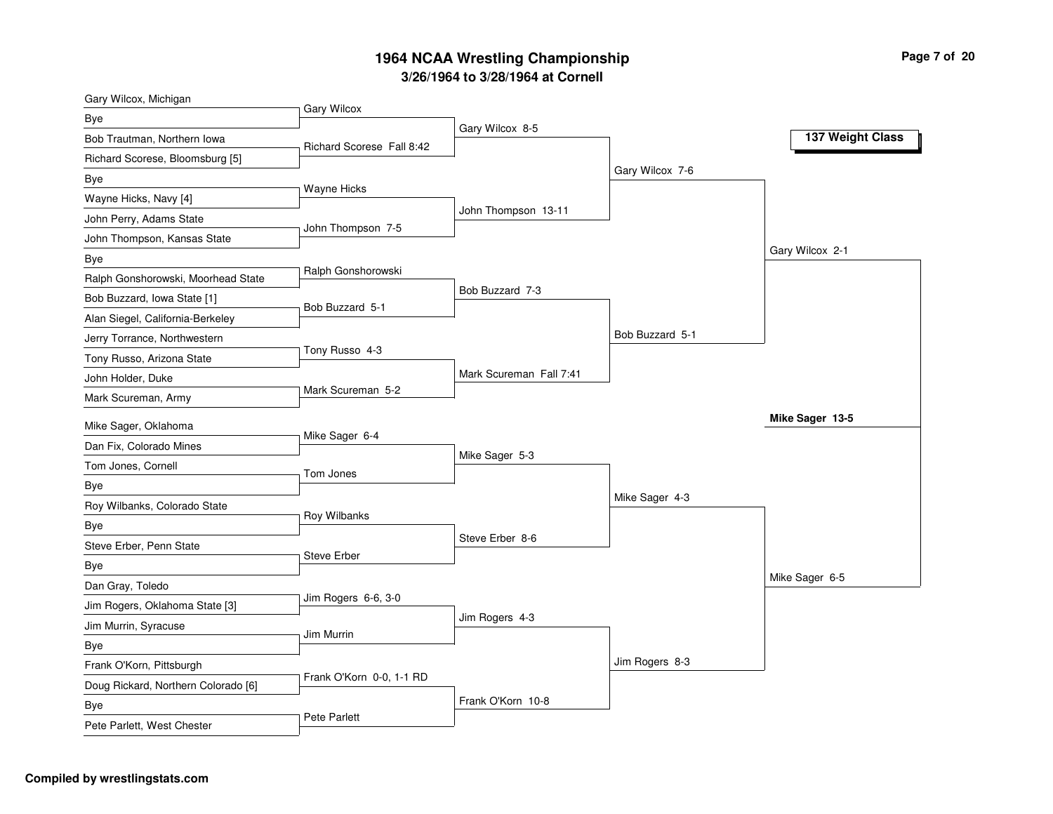| Gary Wilcox, Michigan               |                           |                         |                 |                  |
|-------------------------------------|---------------------------|-------------------------|-----------------|------------------|
| Bye                                 | Gary Wilcox               |                         |                 |                  |
| Bob Trautman, Northern Iowa         | Richard Scorese Fall 8:42 | Gary Wilcox 8-5         |                 | 137 Weight Class |
| Richard Scorese, Bloomsburg [5]     |                           |                         |                 |                  |
| Bye                                 |                           |                         | Gary Wilcox 7-6 |                  |
| Wayne Hicks, Navy [4]               | Wayne Hicks               |                         |                 |                  |
| John Perry, Adams State             |                           | John Thompson 13-11     |                 |                  |
| John Thompson, Kansas State         | John Thompson 7-5         |                         |                 |                  |
| Bye                                 |                           |                         |                 | Gary Wilcox 2-1  |
| Ralph Gonshorowski, Moorhead State  | Ralph Gonshorowski        |                         |                 |                  |
| Bob Buzzard, Iowa State [1]         | Bob Buzzard 5-1           | Bob Buzzard 7-3         |                 |                  |
| Alan Siegel, California-Berkeley    |                           |                         |                 |                  |
| Jerry Torrance, Northwestern        |                           |                         | Bob Buzzard 5-1 |                  |
| Tony Russo, Arizona State           | Tony Russo 4-3            |                         |                 |                  |
| John Holder, Duke                   |                           | Mark Scureman Fall 7:41 |                 |                  |
| Mark Scureman, Army                 | Mark Scureman 5-2         |                         |                 |                  |
| Mike Sager, Oklahoma                |                           |                         |                 | Mike Sager 13-5  |
| Dan Fix, Colorado Mines             | Mike Sager 6-4            |                         |                 |                  |
| Tom Jones, Cornell                  | Tom Jones                 | Mike Sager 5-3          |                 |                  |
| Bye                                 |                           |                         |                 |                  |
| Roy Wilbanks, Colorado State        |                           |                         | Mike Sager 4-3  |                  |
| Bye                                 | Roy Wilbanks              |                         |                 |                  |
| Steve Erber, Penn State             |                           | Steve Erber 8-6         |                 |                  |
| Bye                                 | <b>Steve Erber</b>        |                         |                 |                  |
| Dan Gray, Toledo                    |                           |                         |                 | Mike Sager 6-5   |
| Jim Rogers, Oklahoma State [3]      | Jim Rogers 6-6, 3-0       |                         |                 |                  |
| Jim Murrin, Syracuse                | Jim Murrin                | Jim Rogers 4-3          |                 |                  |
| Bye                                 |                           |                         |                 |                  |
| Frank O'Korn, Pittsburgh            |                           |                         | Jim Rogers 8-3  |                  |
| Doug Rickard, Northern Colorado [6] | Frank O'Korn 0-0, 1-1 RD  |                         |                 |                  |
| Bye                                 |                           | Frank O'Korn 10-8       |                 |                  |
| Pete Parlett, West Chester          | Pete Parlett              |                         |                 |                  |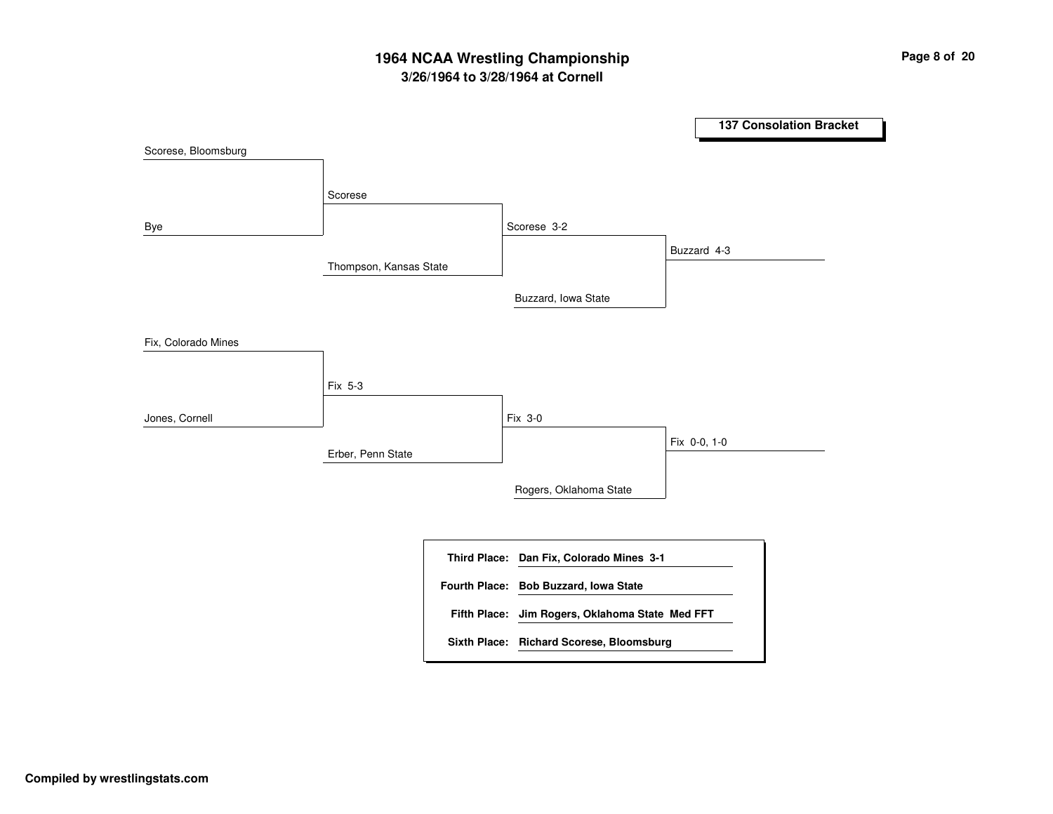# **3/26/1964 to 3/28/1964 at Cornell 1964 NCAA Wrestling Championship Page <sup>8</sup> of <sup>20</sup>**

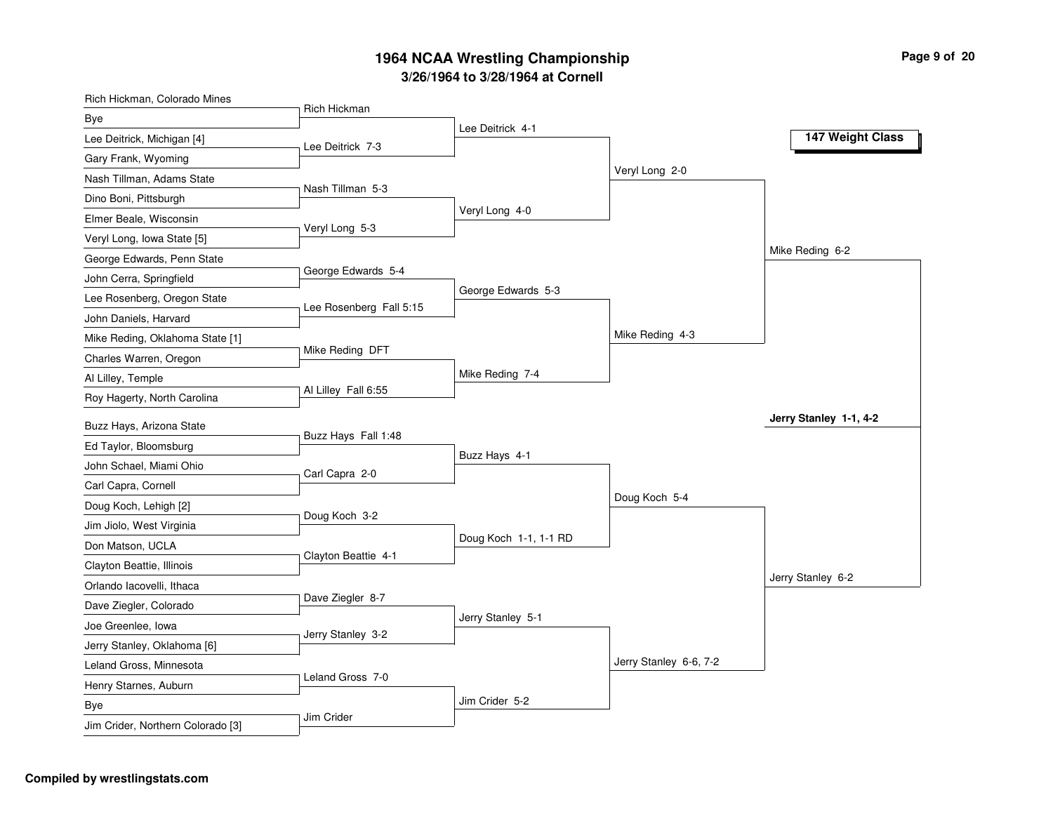| Rich Hickman, Colorado Mines      | Rich Hickman            |                       |                        |                        |
|-----------------------------------|-------------------------|-----------------------|------------------------|------------------------|
| <b>Bye</b>                        |                         | Lee Deitrick 4-1      |                        |                        |
| Lee Deitrick, Michigan [4]        | Lee Deitrick 7-3        |                       |                        | 147 Weight Class       |
| Gary Frank, Wyoming               |                         |                       |                        |                        |
| Nash Tillman, Adams State         |                         |                       | Veryl Long 2-0         |                        |
| Dino Boni, Pittsburgh             | Nash Tillman 5-3        |                       |                        |                        |
| Elmer Beale, Wisconsin            |                         | Veryl Long 4-0        |                        |                        |
| Veryl Long, Iowa State [5]        | Veryl Long 5-3          |                       |                        |                        |
| George Edwards, Penn State        |                         |                       |                        | Mike Reding 6-2        |
| John Cerra, Springfield           | George Edwards 5-4      |                       |                        |                        |
| Lee Rosenberg, Oregon State       | Lee Rosenberg Fall 5:15 | George Edwards 5-3    |                        |                        |
| John Daniels, Harvard             |                         |                       |                        |                        |
| Mike Reding, Oklahoma State [1]   |                         |                       | Mike Reding 4-3        |                        |
| Charles Warren, Oregon            | Mike Reding DFT         |                       |                        |                        |
| Al Lilley, Temple                 |                         | Mike Reding 7-4       |                        |                        |
| Roy Hagerty, North Carolina       | Al Lilley Fall 6:55     |                       |                        |                        |
| Buzz Hays, Arizona State          |                         |                       |                        | Jerry Stanley 1-1, 4-2 |
| Ed Taylor, Bloomsburg             | Buzz Hays Fall 1:48     |                       |                        |                        |
| John Schael, Miami Ohio           | Carl Capra 2-0          | Buzz Hays 4-1         |                        |                        |
| Carl Capra, Cornell               |                         |                       |                        |                        |
| Doug Koch, Lehigh [2]             |                         |                       | Doug Koch 5-4          |                        |
| Jim Jiolo, West Virginia          | Doug Koch 3-2           |                       |                        |                        |
| Don Matson, UCLA                  |                         | Doug Koch 1-1, 1-1 RD |                        |                        |
| Clayton Beattie, Illinois         | Clayton Beattie 4-1     |                       |                        |                        |
| Orlando lacovelli, Ithaca         |                         |                       |                        | Jerry Stanley 6-2      |
| Dave Ziegler, Colorado            | Dave Ziegler 8-7        |                       |                        |                        |
| Joe Greenlee, Iowa                |                         | Jerry Stanley 5-1     |                        |                        |
| Jerry Stanley, Oklahoma [6]       | Jerry Stanley 3-2       |                       |                        |                        |
| Leland Gross, Minnesota           |                         |                       | Jerry Stanley 6-6, 7-2 |                        |
| Henry Starnes, Auburn             | Leland Gross 7-0        |                       |                        |                        |
| Bye                               |                         | Jim Crider 5-2        |                        |                        |
| Jim Crider, Northern Colorado [3] | Jim Crider              |                       |                        |                        |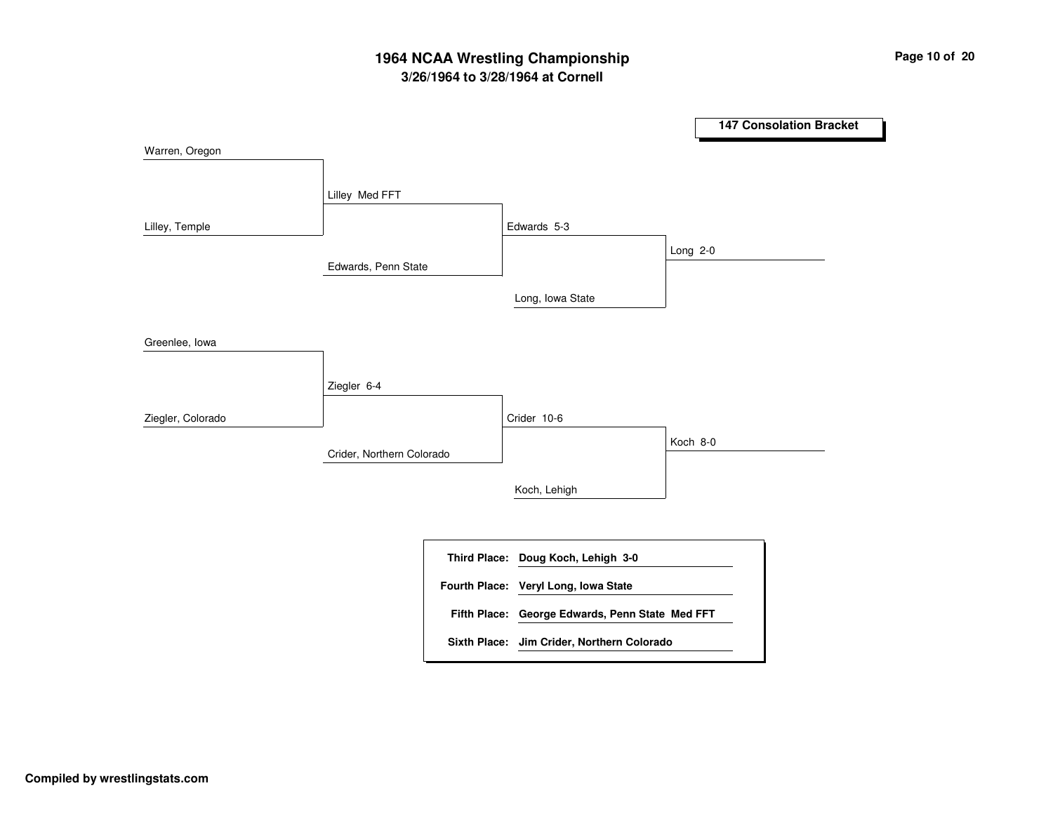# **3/26/1964 to 3/28/1964 at Cornell 1964 NCAA Wrestling Championship Page <sup>10</sup> of <sup>20</sup>**

**147 Consolation Bracket** Edwards, Penn State Crider, Northern Colorado Lilley Med FFT Ziegler 6-4 Edwards 5-3Crider 10-6Long, Iowa State Koch, Lehigh Long 2-0 Koch 8-0 Warren, Oregon Lilley, Temple Greenlee, Iowa Ziegler, Colorado **Doug Koch, Lehigh 3-0 Third Place: George Edwards, Penn State Med FFT Fifth Place: Fourth Place: Veryl Long, Iowa State Sixth Place: Jim Crider, Northern Colorado**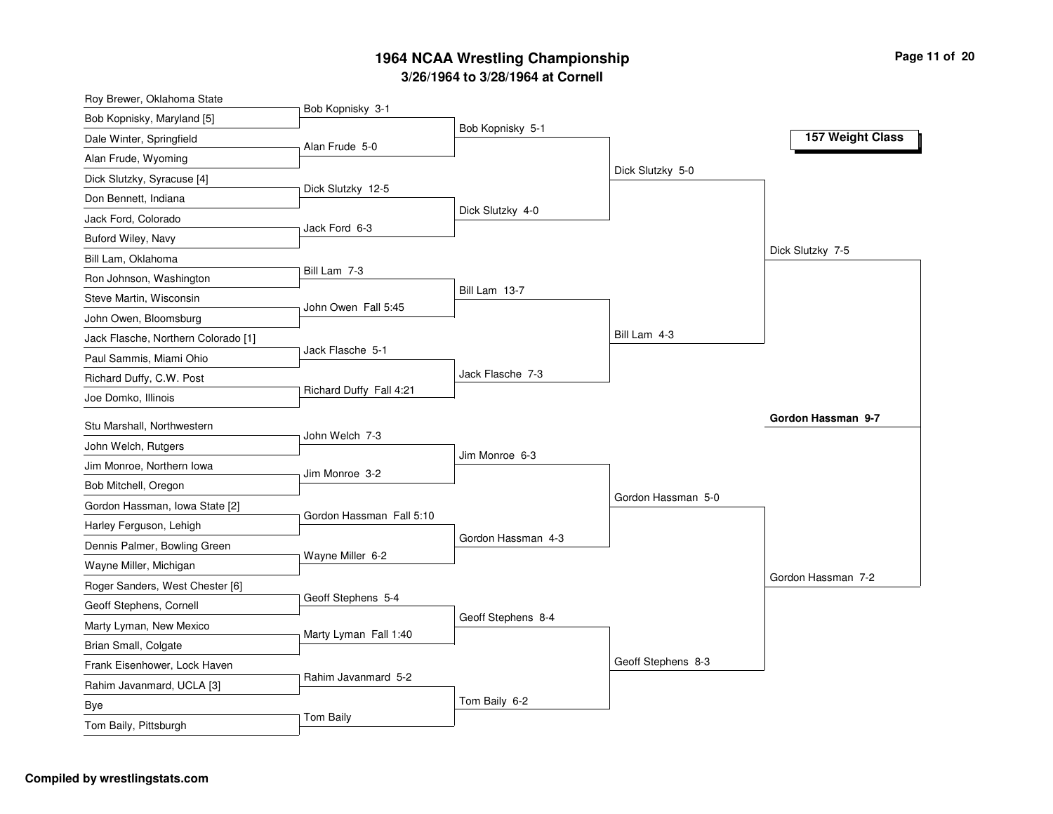| Roy Brewer, Oklahoma State          |                          |                    |                    |                    |
|-------------------------------------|--------------------------|--------------------|--------------------|--------------------|
| Bob Kopnisky, Maryland [5]          | Bob Kopnisky 3-1         |                    |                    |                    |
| Dale Winter, Springfield            | Alan Frude 5-0           | Bob Kopnisky 5-1   |                    | 157 Weight Class   |
| Alan Frude, Wyoming                 |                          |                    |                    |                    |
| Dick Slutzky, Syracuse [4]          |                          |                    | Dick Slutzky 5-0   |                    |
| Don Bennett, Indiana                | Dick Slutzky 12-5        |                    |                    |                    |
| Jack Ford, Colorado                 | Jack Ford 6-3            | Dick Slutzky 4-0   |                    |                    |
| Buford Wiley, Navy                  |                          |                    |                    |                    |
| Bill Lam, Oklahoma                  |                          |                    |                    | Dick Slutzky 7-5   |
| Ron Johnson, Washington             | Bill Lam 7-3             |                    |                    |                    |
| Steve Martin, Wisconsin             | John Owen Fall 5:45      | Bill Lam 13-7      |                    |                    |
| John Owen, Bloomsburg               |                          |                    |                    |                    |
| Jack Flasche, Northern Colorado [1] |                          |                    | Bill Lam 4-3       |                    |
| Paul Sammis, Miami Ohio             | Jack Flasche 5-1         |                    |                    |                    |
| Richard Duffy, C.W. Post            |                          | Jack Flasche 7-3   |                    |                    |
| Joe Domko, Illinois                 | Richard Duffy Fall 4:21  |                    |                    |                    |
| Stu Marshall, Northwestern          |                          |                    |                    | Gordon Hassman 9-7 |
| John Welch, Rutgers                 | John Welch 7-3           |                    |                    |                    |
| Jim Monroe, Northern Iowa           |                          | Jim Monroe 6-3     |                    |                    |
| Bob Mitchell, Oregon                | Jim Monroe 3-2           |                    |                    |                    |
| Gordon Hassman, Iowa State [2]      |                          |                    | Gordon Hassman 5-0 |                    |
| Harley Ferguson, Lehigh             | Gordon Hassman Fall 5:10 |                    |                    |                    |
| Dennis Palmer, Bowling Green        |                          | Gordon Hassman 4-3 |                    |                    |
| Wayne Miller, Michigan              | Wayne Miller 6-2         |                    |                    |                    |
| Roger Sanders, West Chester [6]     |                          |                    |                    | Gordon Hassman 7-2 |
| Geoff Stephens, Cornell             | Geoff Stephens 5-4       |                    |                    |                    |
| Marty Lyman, New Mexico             |                          | Geoff Stephens 8-4 |                    |                    |
| Brian Small, Colgate                | Marty Lyman Fall 1:40    |                    |                    |                    |
| Frank Eisenhower, Lock Haven        |                          |                    | Geoff Stephens 8-3 |                    |
| Rahim Javanmard, UCLA [3]           | Rahim Javanmard 5-2      |                    |                    |                    |
| Bye                                 |                          | Tom Baily 6-2      |                    |                    |
| Tom Baily, Pittsburgh               | Tom Baily                |                    |                    |                    |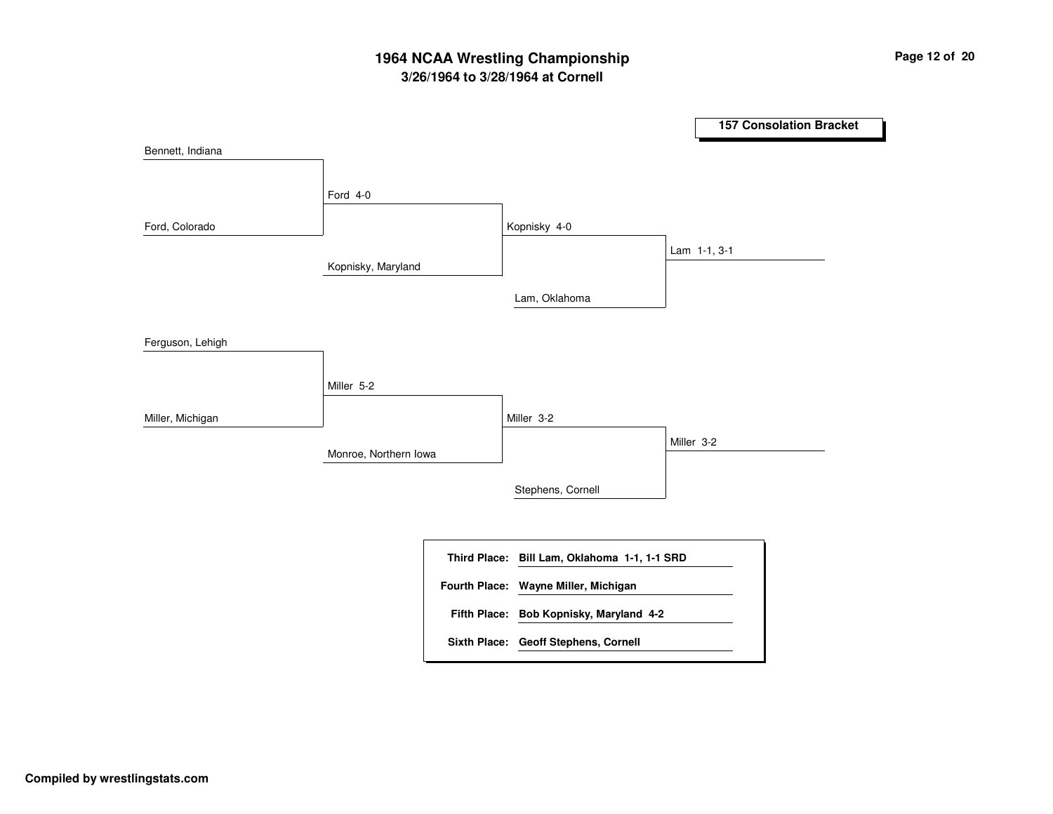# **3/26/1964 to 3/28/1964 at Cornell 1964 NCAA Wrestling Championship Page <sup>12</sup> of <sup>20</sup>**

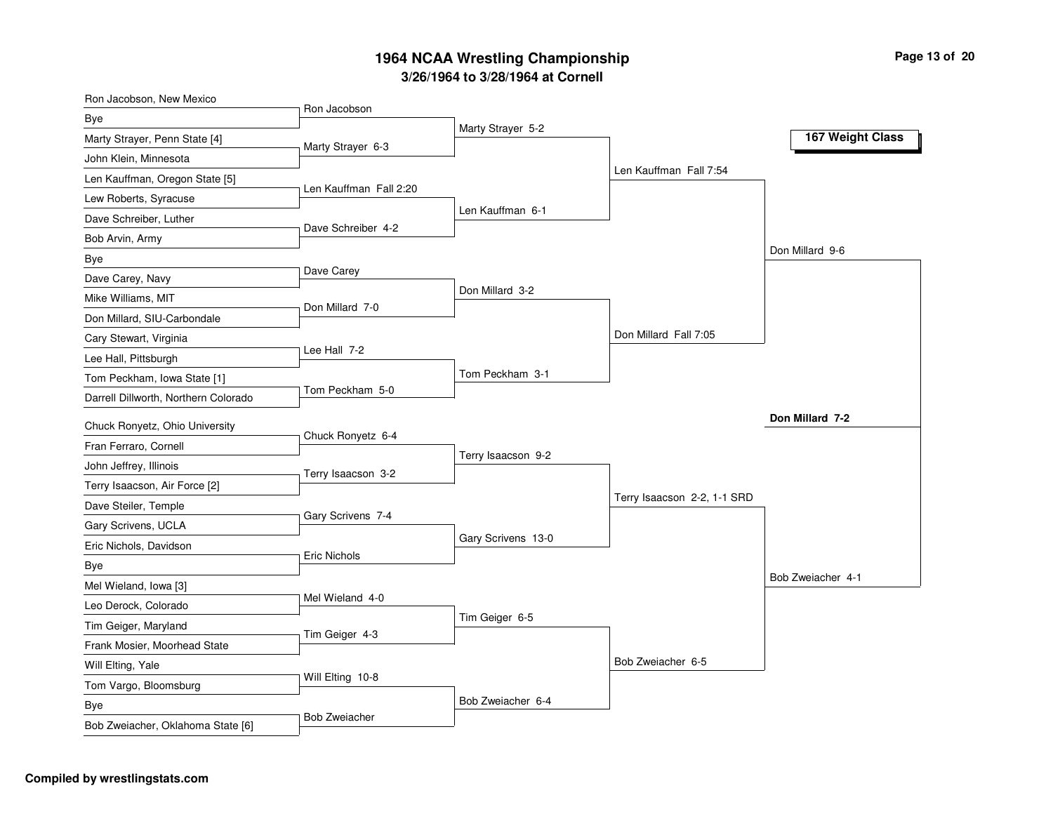| Ron Jacobson, New Mexico             | Ron Jacobson           |                    |                             |                   |
|--------------------------------------|------------------------|--------------------|-----------------------------|-------------------|
| Bye                                  |                        | Marty Strayer 5-2  |                             |                   |
| Marty Strayer, Penn State [4]        | Marty Strayer 6-3      |                    |                             | 167 Weight Class  |
| John Klein, Minnesota                |                        |                    |                             |                   |
| Len Kauffman, Oregon State [5]       | Len Kauffman Fall 2:20 |                    | Len Kauffman Fall 7:54      |                   |
| Lew Roberts, Syracuse                |                        |                    |                             |                   |
| Dave Schreiber, Luther               | Dave Schreiber 4-2     | Len Kauffman 6-1   |                             |                   |
| Bob Arvin, Army                      |                        |                    |                             |                   |
| Bye                                  |                        |                    |                             | Don Millard 9-6   |
| Dave Carey, Navy                     | Dave Carey             |                    |                             |                   |
| Mike Williams, MIT                   | Don Millard 7-0        | Don Millard 3-2    |                             |                   |
| Don Millard, SIU-Carbondale          |                        |                    |                             |                   |
| Cary Stewart, Virginia               |                        |                    | Don Millard Fall 7:05       |                   |
| Lee Hall, Pittsburgh                 | Lee Hall 7-2           |                    |                             |                   |
| Tom Peckham, Iowa State [1]          |                        | Tom Peckham 3-1    |                             |                   |
| Darrell Dillworth, Northern Colorado | Tom Peckham 5-0        |                    |                             |                   |
| Chuck Ronyetz, Ohio University       |                        |                    |                             | Don Millard 7-2   |
| Fran Ferraro, Cornell                | Chuck Ronyetz 6-4      |                    |                             |                   |
| John Jeffrey, Illinois               |                        | Terry Isaacson 9-2 |                             |                   |
| Terry Isaacson, Air Force [2]        | Terry Isaacson 3-2     |                    |                             |                   |
| Dave Steiler, Temple                 |                        |                    | Terry Isaacson 2-2, 1-1 SRD |                   |
| Gary Scrivens, UCLA                  | Gary Scrivens 7-4      |                    |                             |                   |
| Eric Nichols, Davidson               |                        | Gary Scrivens 13-0 |                             |                   |
| Bye                                  | <b>Eric Nichols</b>    |                    |                             |                   |
| Mel Wieland, Iowa [3]                |                        |                    |                             | Bob Zweiacher 4-1 |
| Leo Derock, Colorado                 | Mel Wieland 4-0        |                    |                             |                   |
| Tim Geiger, Maryland                 |                        | Tim Geiger 6-5     |                             |                   |
| Frank Mosier, Moorhead State         | Tim Geiger 4-3         |                    |                             |                   |
| Will Elting, Yale                    |                        |                    | Bob Zweiacher 6-5           |                   |
| Tom Vargo, Bloomsburg                | Will Elting 10-8       |                    |                             |                   |
| Bye                                  |                        | Bob Zweiacher 6-4  |                             |                   |
| Bob Zweiacher, Oklahoma State [6]    | <b>Bob Zweiacher</b>   |                    |                             |                   |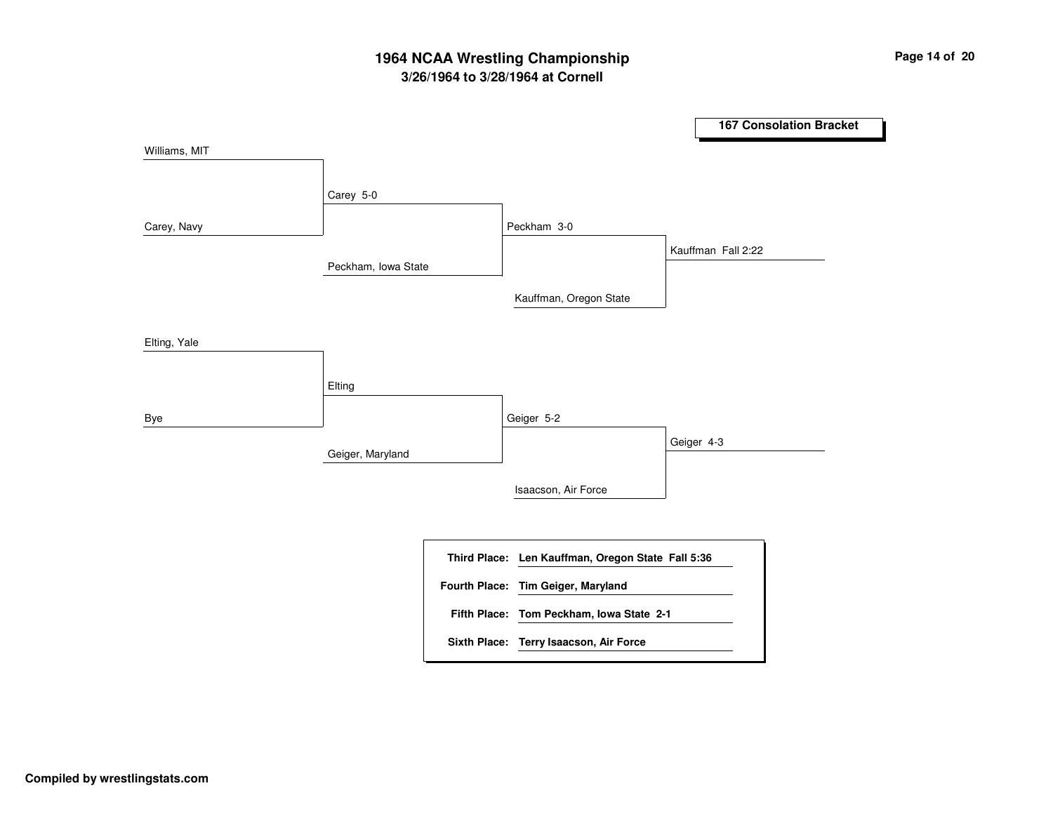# **3/26/1964 to 3/28/1964 at Cornell 1964 NCAA Wrestling Championship Page <sup>14</sup> of <sup>20</sup>**

**167 Consolation Bracket** Peckham, Iowa State Geiger, Maryland Carey 5-0 Elting Peckham 3-0 Geiger 5-2 Kauffman, Oregon State Isaacson, Air Force Kauffman Fall 2:22 Geiger 4-3 Williams, MIT Carey, Navy Elting, Yale Bye **Len Kauffman, Oregon State Fall 5:36 Third Place: Tom Peckham, Iowa State 2-1 Fifth Place: Fourth Place: Tim Geiger, Maryland Sixth Place: Terry Isaacson, Air Force**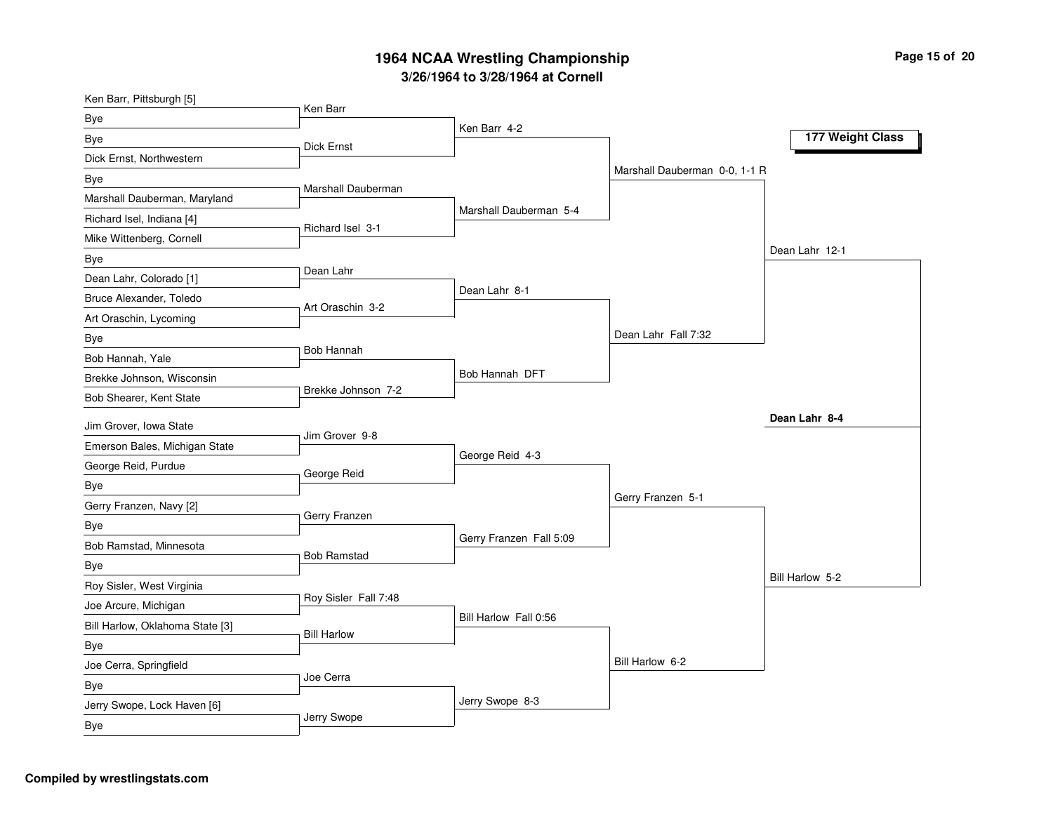| Ken Barr, Pittsburgh [5]        | Ken Barr             |                         |                               |                  |
|---------------------------------|----------------------|-------------------------|-------------------------------|------------------|
| Bye                             |                      | Ken Barr 4-2            |                               |                  |
| Bye                             | <b>Dick Ernst</b>    |                         |                               | 177 Weight Class |
| Dick Ernst, Northwestern        |                      |                         |                               |                  |
| Bye                             |                      |                         | Marshall Dauberman 0-0, 1-1 R |                  |
| Marshall Dauberman, Maryland    | Marshall Dauberman   |                         |                               |                  |
| Richard Isel, Indiana [4]       | Richard Isel 3-1     | Marshall Dauberman 5-4  |                               |                  |
| Mike Wittenberg, Cornell        |                      |                         |                               |                  |
| Bye                             |                      |                         |                               | Dean Lahr 12-1   |
| Dean Lahr, Colorado [1]         | Dean Lahr            |                         |                               |                  |
| Bruce Alexander, Toledo         |                      | Dean Lahr 8-1           |                               |                  |
| Art Oraschin, Lycoming          | Art Oraschin 3-2     |                         |                               |                  |
| Bye                             |                      |                         | Dean Lahr Fall 7:32           |                  |
| Bob Hannah, Yale                | Bob Hannah           |                         |                               |                  |
| Brekke Johnson, Wisconsin       |                      | Bob Hannah DFT          |                               |                  |
| Bob Shearer, Kent State         | Brekke Johnson 7-2   |                         |                               |                  |
| Jim Grover, Iowa State          |                      |                         |                               | Dean Lahr 8-4    |
| Emerson Bales, Michigan State   | Jim Grover 9-8       |                         |                               |                  |
| George Reid, Purdue             | George Reid          | George Reid 4-3         |                               |                  |
| Bye                             |                      |                         |                               |                  |
| Gerry Franzen, Navy [2]         |                      |                         | Gerry Franzen 5-1             |                  |
| <b>Bye</b>                      | Gerry Franzen        |                         |                               |                  |
| Bob Ramstad, Minnesota          |                      | Gerry Franzen Fall 5:09 |                               |                  |
| Bye                             | <b>Bob Ramstad</b>   |                         |                               |                  |
| Roy Sisler, West Virginia       |                      |                         |                               | Bill Harlow 5-2  |
| Joe Arcure, Michigan            | Roy Sisler Fall 7:48 |                         |                               |                  |
| Bill Harlow, Oklahoma State [3] |                      | Bill Harlow Fall 0:56   |                               |                  |
| Bye                             | <b>Bill Harlow</b>   |                         |                               |                  |
| Joe Cerra, Springfield          |                      |                         | Bill Harlow 6-2               |                  |
| Bye                             | Joe Cerra            |                         |                               |                  |
| Jerry Swope, Lock Haven [6]     |                      | Jerry Swope 8-3         |                               |                  |
| Bye                             | Jerry Swope          |                         |                               |                  |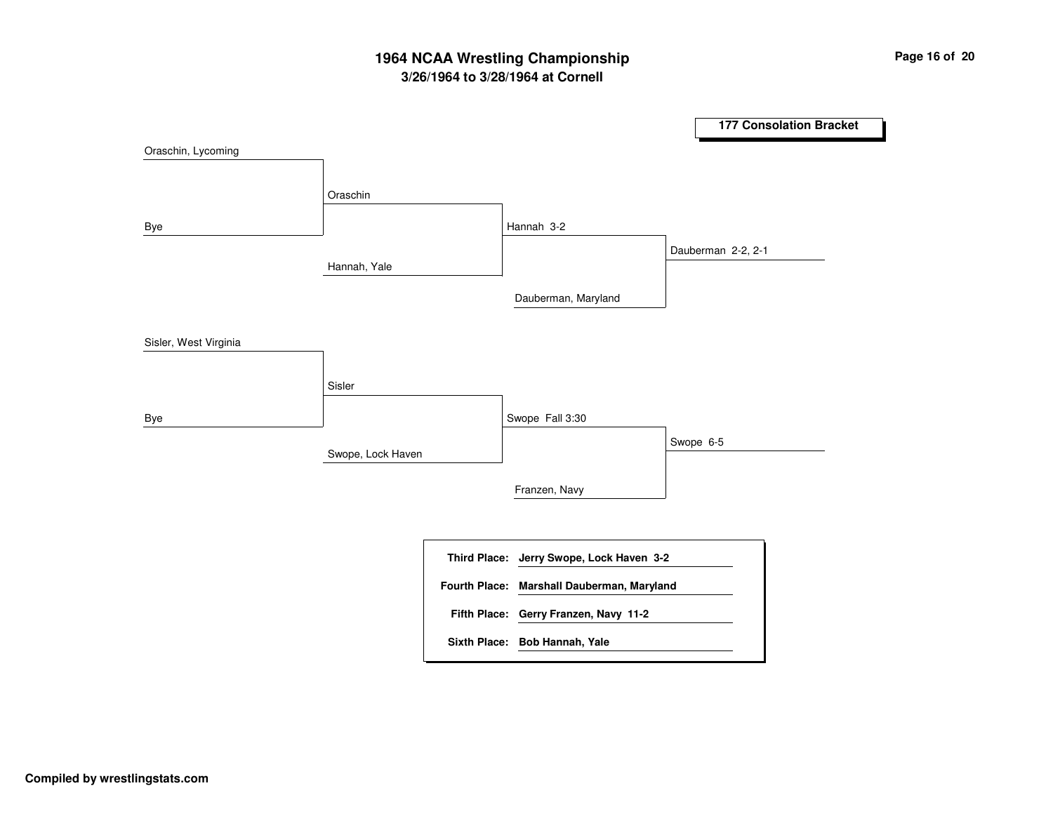# **3/26/1964 to 3/28/1964 at Cornell 1964 NCAA Wrestling Championship Page <sup>16</sup> of <sup>20</sup>**

**177 Consolation Bracket** Hannah, Yale Swope, Lock Haven OraschinSisler Hannah 3-2 Swope Fall 3:30 Dauberman, Maryland Franzen, Navy Dauberman 2-2, 2-1 Swope 6-5 Oraschin, Lycoming Bye Sisler, West Virginia Bye **Jerry Swope, Lock Haven 3-2 Third Place: Gerry Franzen, Navy 11-2 Fifth Place: Fourth Place: Marshall Dauberman, Maryland Sixth Place: Bob Hannah, Yale**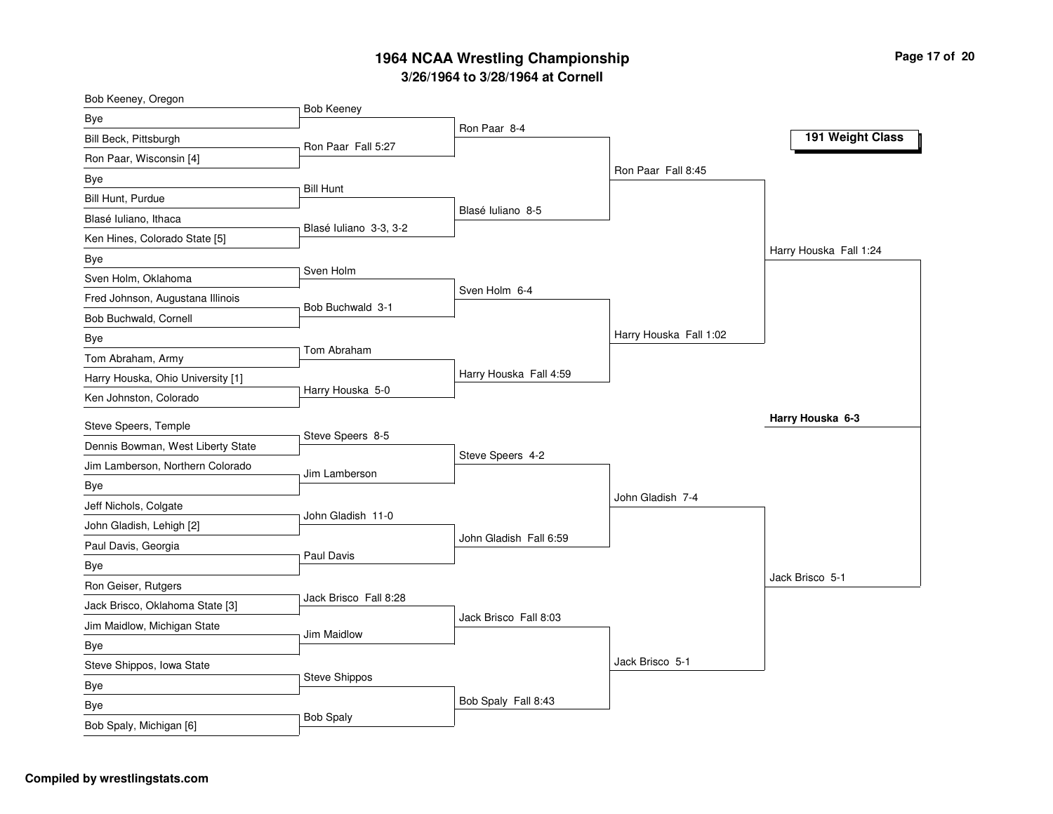| Bob Keeney, Oregon                |                        |                        |                        |                        |
|-----------------------------------|------------------------|------------------------|------------------------|------------------------|
| Bye                               | <b>Bob Keeney</b>      | Ron Paar 8-4           |                        |                        |
| Bill Beck, Pittsburgh             | Ron Paar Fall 5:27     |                        |                        | 191 Weight Class       |
| Ron Paar, Wisconsin [4]           |                        |                        |                        |                        |
| Bye                               | <b>Bill Hunt</b>       |                        | Ron Paar Fall 8:45     |                        |
| Bill Hunt, Purdue                 |                        |                        |                        |                        |
| Blasé Iuliano, Ithaca             |                        | Blasé Iuliano 8-5      |                        |                        |
| Ken Hines, Colorado State [5]     | Blasé Iuliano 3-3, 3-2 |                        |                        |                        |
| Bye                               |                        |                        |                        | Harry Houska Fall 1:24 |
| Sven Holm, Oklahoma               | Sven Holm              |                        |                        |                        |
| Fred Johnson, Augustana Illinois  | Bob Buchwald 3-1       | Sven Holm 6-4          |                        |                        |
| Bob Buchwald, Cornell             |                        |                        |                        |                        |
| Bye                               |                        |                        | Harry Houska Fall 1:02 |                        |
| Tom Abraham, Army                 | Tom Abraham            |                        |                        |                        |
| Harry Houska, Ohio University [1] |                        | Harry Houska Fall 4:59 |                        |                        |
| Ken Johnston, Colorado            | Harry Houska 5-0       |                        |                        |                        |
| Steve Speers, Temple              |                        |                        |                        | Harry Houska 6-3       |
| Dennis Bowman, West Liberty State | Steve Speers 8-5       |                        |                        |                        |
| Jim Lamberson, Northern Colorado  |                        | Steve Speers 4-2       |                        |                        |
| Bye                               | Jim Lamberson          |                        |                        |                        |
| Jeff Nichols, Colgate             |                        |                        | John Gladish 7-4       |                        |
| John Gladish, Lehigh [2]          | John Gladish 11-0      |                        |                        |                        |
| Paul Davis, Georgia               |                        | John Gladish Fall 6:59 |                        |                        |
| Bye                               | Paul Davis             |                        |                        |                        |
| Ron Geiser, Rutgers               |                        |                        |                        | Jack Brisco 5-1        |
| Jack Brisco, Oklahoma State [3]   | Jack Brisco Fall 8:28  |                        |                        |                        |
| Jim Maidlow, Michigan State       |                        | Jack Brisco Fall 8:03  |                        |                        |
| Bye                               | Jim Maidlow            |                        |                        |                        |
| Steve Shippos, Iowa State         |                        |                        | Jack Brisco 5-1        |                        |
| Bye                               | <b>Steve Shippos</b>   |                        |                        |                        |
| Bye                               |                        | Bob Spaly Fall 8:43    |                        |                        |
| Bob Spaly, Michigan [6]           | <b>Bob Spaly</b>       |                        |                        |                        |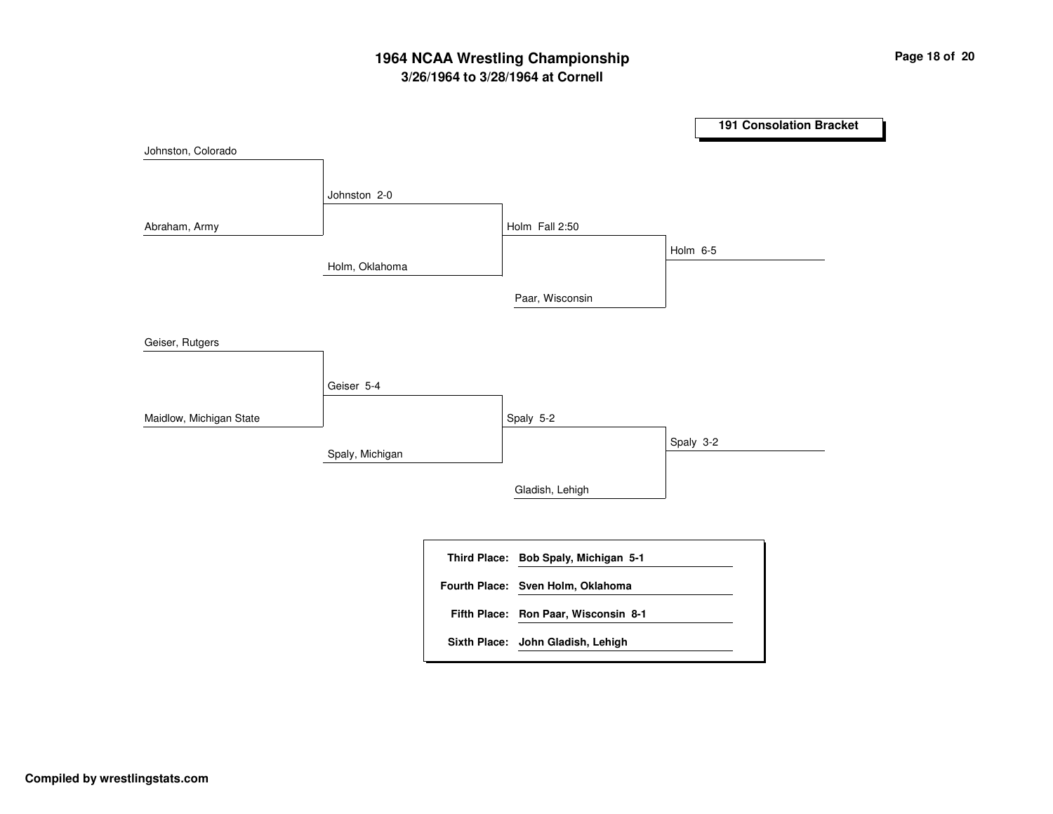# **3/26/1964 to 3/28/1964 at Cornell 1964 NCAA Wrestling Championship Page <sup>18</sup> of <sup>20</sup>**

**191 Consolation Bracket** Holm, Oklahoma Spaly, Michigan Johnston 2-0 Geiser 5-4 Holm Fall 2:50 Spaly 5-2 Paar, Wisconsin Gladish, Lehigh Holm 6-5 Spaly 3-2 Johnston, Colorado Abraham, Army Geiser, Rutgers Maidlow, Michigan State **Bob Spaly, Michigan 5-1 Third Place: Ron Paar, Wisconsin 8-1 Fifth Place: Fourth Place: Sven Holm, Oklahoma Sixth Place: John Gladish, Lehigh**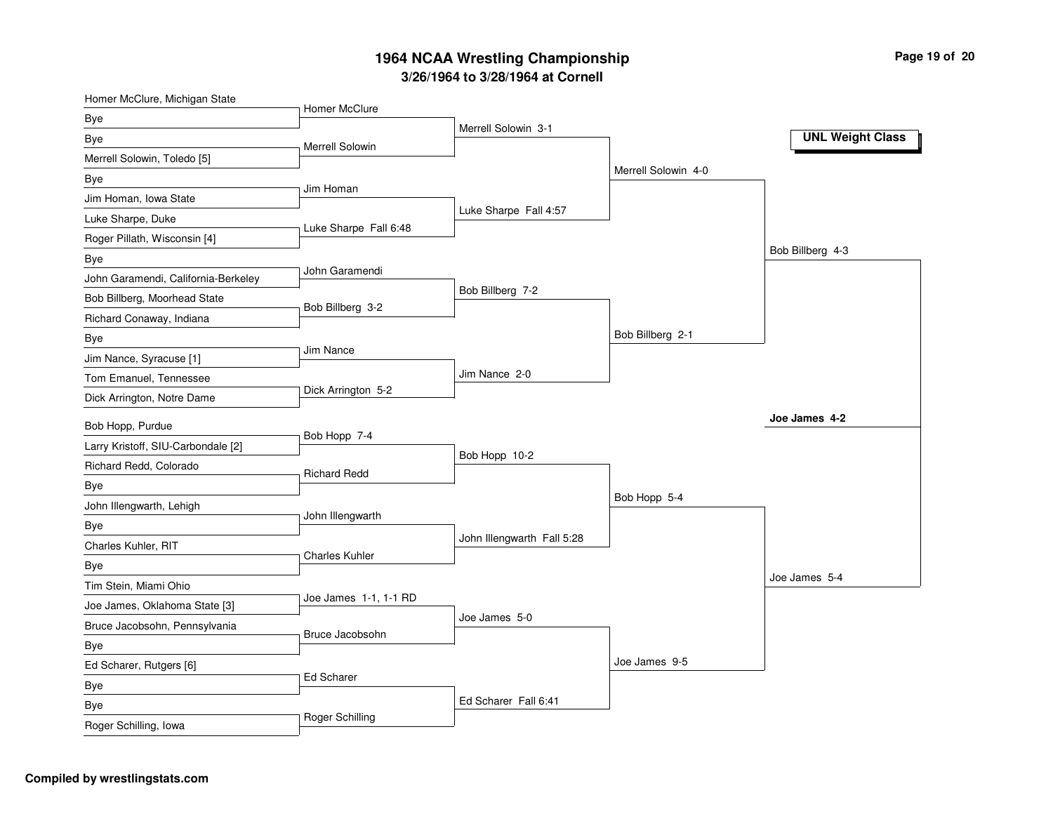| Homer McClure, Michigan State       | Homer McClure         |                            |                     |                         |
|-------------------------------------|-----------------------|----------------------------|---------------------|-------------------------|
| Bye                                 |                       | Merrell Solowin 3-1        |                     |                         |
| Bye                                 | Merrell Solowin       |                            |                     | <b>UNL Weight Class</b> |
| Merrell Solowin, Toledo [5]         |                       |                            |                     |                         |
| Bye                                 |                       |                            | Merrell Solowin 4-0 |                         |
| Jim Homan, Iowa State               | Jim Homan             |                            |                     |                         |
| Luke Sharpe, Duke                   | Luke Sharpe Fall 6:48 | Luke Sharpe Fall 4:57      |                     |                         |
| Roger Pillath, Wisconsin [4]        |                       |                            |                     |                         |
| Bye                                 |                       |                            |                     | Bob Billberg 4-3        |
| John Garamendi, California-Berkeley | John Garamendi        |                            |                     |                         |
| Bob Billberg, Moorhead State        | Bob Billberg 3-2      | Bob Billberg 7-2           |                     |                         |
| Richard Conaway, Indiana            |                       |                            |                     |                         |
| Bye                                 |                       |                            | Bob Billberg 2-1    |                         |
| Jim Nance, Syracuse [1]             | Jim Nance             |                            |                     |                         |
| Tom Emanuel, Tennessee              |                       | Jim Nance 2-0              |                     |                         |
| Dick Arrington, Notre Dame          | Dick Arrington 5-2    |                            |                     |                         |
| Bob Hopp, Purdue                    |                       |                            |                     | Joe James 4-2           |
| Larry Kristoff, SIU-Carbondale [2]  | Bob Hopp 7-4          |                            |                     |                         |
| Richard Redd, Colorado              | <b>Richard Redd</b>   | Bob Hopp 10-2              |                     |                         |
| Bye                                 |                       |                            |                     |                         |
| John Illengwarth, Lehigh            |                       |                            | Bob Hopp 5-4        |                         |
| Bye                                 | John Illengwarth      |                            |                     |                         |
| Charles Kuhler, RIT                 |                       | John Illengwarth Fall 5:28 |                     |                         |
| Bye                                 | <b>Charles Kuhler</b> |                            |                     |                         |
| Tim Stein, Miami Ohio               |                       |                            |                     | Joe James 5-4           |
| Joe James, Oklahoma State [3]       | Joe James 1-1, 1-1 RD |                            |                     |                         |
| Bruce Jacobsohn, Pennsylvania       |                       | Joe James 5-0              |                     |                         |
| Bye                                 | Bruce Jacobsohn       |                            |                     |                         |
| Ed Scharer, Rutgers [6]             |                       |                            | Joe James 9-5       |                         |
| Bye                                 | Ed Scharer            |                            |                     |                         |
| Bye                                 |                       | Ed Scharer Fall 6:41       |                     |                         |
| Roger Schilling, Iowa               | Roger Schilling       |                            |                     |                         |